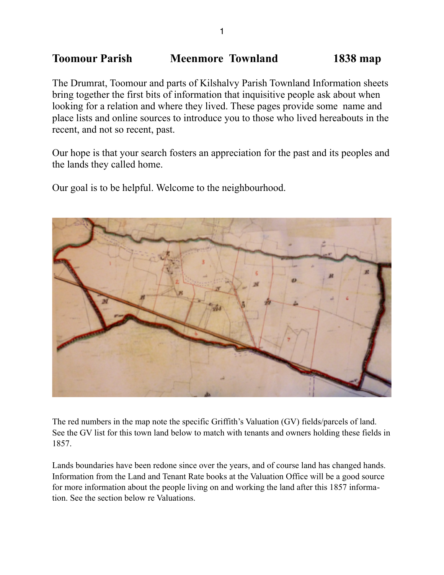# **Toomour Parish Meenmore Townland 1838 map**

The Drumrat, Toomour and parts of Kilshalvy Parish Townland Information sheets bring together the first bits of information that inquisitive people ask about when looking for a relation and where they lived. These pages provide some name and place lists and online sources to introduce you to those who lived hereabouts in the recent, and not so recent, past.

Our hope is that your search fosters an appreciation for the past and its peoples and the lands they called home.

Our goal is to be helpful. Welcome to the neighbourhood.



The red numbers in the map note the specific Griffith's Valuation (GV) fields/parcels of land. See the GV list for this town land below to match with tenants and owners holding these fields in 1857.

Lands boundaries have been redone since over the years, and of course land has changed hands. Information from the Land and Tenant Rate books at the Valuation Office will be a good source for more information about the people living on and working the land after this 1857 information. See the section below re Valuations.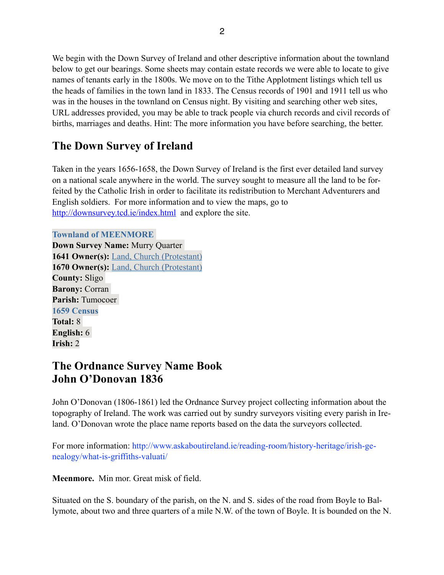We begin with the Down Survey of Ireland and other descriptive information about the townland below to get our bearings. Some sheets may contain estate records we were able to locate to give names of tenants early in the 1800s. We move on to the Tithe Applotment listings which tell us the heads of families in the town land in 1833. The Census records of 1901 and 1911 tell us who was in the houses in the townland on Census night. By visiting and searching other web sites, URL addresses provided, you may be able to track people via church records and civil records of births, marriages and deaths. Hint: The more information you have before searching, the better.

# **The Down Survey of Ireland**

Taken in the years 1656-1658, the Down Survey of Ireland is the first ever detailed land survey on a national scale anywhere in the world. The survey sought to measure all the land to be forfeited by the Catholic Irish in order to facilitate its redistribution to Merchant Adventurers and English soldiers. For more information and to view the maps, go to <http://downsurvey.tcd.ie/index.html>and explore the site.

**Townland of MEENMORE** 

**Down Survey Name:** Murry Quarter **1641 Owner(s):** [Land, Church \(Protestant\)](http://downsurvey.tcd.ie/landowners.php#l1=Land,%20Church) **1670 Owner(s):** [Land, Church \(Protestant\)](http://downsurvey.tcd.ie/landowners.php#l4=Land,%20Church) **County:** Sligo **Barony:** Corran **Parish:** Tumocoer **1659 Census Total:** 8 **English:** 6 **Irish:** 2

# **The Ordnance Survey Name Book John O'Donovan 1836**

John O'Donovan (1806-1861) led the Ordnance Survey project collecting information about the topography of Ireland. The work was carried out by sundry surveyors visiting every parish in Ireland. O'Donovan wrote the place name reports based on the data the surveyors collected.

For more information: http://www.askaboutireland.ie/reading-room/history-heritage/irish-genealogy/what-is-griffiths-valuati/

**Meenmore.** Min mor. Great misk of field.

Situated on the S. boundary of the parish, on the N. and S. sides of the road from Boyle to Ballymote, about two and three quarters of a mile N.W. of the town of Boyle. It is bounded on the N.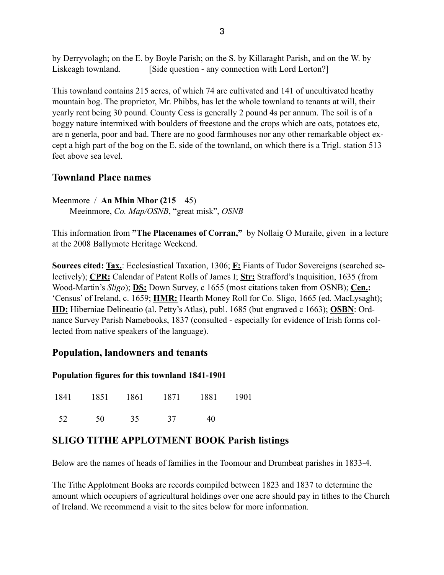by Derryvolagh; on the E. by Boyle Parish; on the S. by Killaraght Parish, and on the W. by Liskeagh townland. [Side question - any connection with Lord Lorton?]

This townland contains 215 acres, of which 74 are cultivated and 141 of uncultivated heathy mountain bog. The proprietor, Mr. Phibbs, has let the whole townland to tenants at will, their yearly rent being 30 pound. County Cess is generally 2 pound 4s per annum. The soil is of a boggy nature intermixed with boulders of freestone and the crops which are oats, potatoes etc, are n generla, poor and bad. There are no good farmhouses nor any other remarkable object except a high part of the bog on the E. side of the townland, on which there is a Trigl. station 513 feet above sea level.

## **Townland Place names**

Meenmore / **An Mhin Mhor (215**—45) Meeinmore, *Co. Map/OSNB*, "great misk", *OSNB*

This information from **"The Placenames of Corran,"** by Nollaig O Muraile, given in a lecture at the 2008 Ballymote Heritage Weekend.

**Sources cited: Tax.**: Ecclesiastical Taxation, 1306; **F:** Fiants of Tudor Sovereigns (searched selectively); **CPR:** Calendar of Patent Rolls of James I; **Str:** Strafford's Inquisition, 1635 (from Wood-Martin's *Sligo*); **DS:** Down Survey, c 1655 (most citations taken from OSNB); **Cen.:** 'Census' of Ireland, c. 1659; **HMR:** Hearth Money Roll for Co. Sligo, 1665 (ed. MacLysaght); **HD:** Hiberniae Delineatio (al. Petty's Atlas), publ. 1685 (but engraved c 1663); **OSBN**: Ordnance Survey Parish Namebooks, 1837 (consulted - especially for evidence of Irish forms collected from native speakers of the language).

### **Population, landowners and tenants**

### **Population figures for this townland 1841-1901**

|      |          | 1841 1851 1861 1871 1881 1901 |    |  |
|------|----------|-------------------------------|----|--|
| - 52 | 50 35 37 |                               | 40 |  |

## **SLIGO TITHE APPLOTMENT BOOK Parish listings**

Below are the names of heads of families in the Toomour and Drumbeat parishes in 1833-4.

The Tithe Applotment Books are records compiled between 1823 and 1837 to determine the amount which occupiers of agricultural holdings over one acre should pay in tithes to the Church of Ireland. We recommend a visit to the sites below for more information.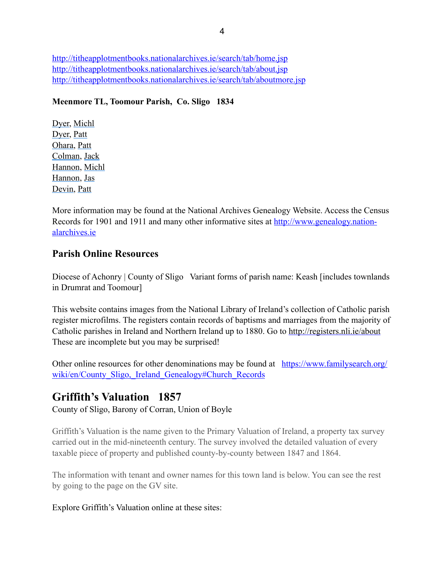<http://titheapplotmentbooks.nationalarchives.ie/search/tab/home.jsp> <http://titheapplotmentbooks.nationalarchives.ie/search/tab/about.jsp> <http://titheapplotmentbooks.nationalarchives.ie/search/tab/aboutmore.jsp>

### **Meenmore TL, Toomour Parish, Co. Sligo 1834**

[Dyer,](http://titheapplotmentbooks.nationalarchives.ie/reels/tab//004625727/004625727_00090.pdf) [Michl](http://titheapplotmentbooks.nationalarchives.ie/reels/tab//004625727/004625727_00090.pdf) [Dyer,](http://titheapplotmentbooks.nationalarchives.ie/reels/tab//004625727/004625727_00090.pdf) [Patt](http://titheapplotmentbooks.nationalarchives.ie/reels/tab//004625727/004625727_00090.pdf) [Ohara](http://titheapplotmentbooks.nationalarchives.ie/reels/tab//004625727/004625727_00090.pdf), [Patt](http://titheapplotmentbooks.nationalarchives.ie/reels/tab//004625727/004625727_00090.pdf)  [Colman,](http://titheapplotmentbooks.nationalarchives.ie/reels/tab//004625727/004625727_00090.pdf) [Jack](http://titheapplotmentbooks.nationalarchives.ie/reels/tab//004625727/004625727_00090.pdf) [Hannon,](http://titheapplotmentbooks.nationalarchives.ie/reels/tab//004625727/004625727_00091.pdf) [Michl](http://titheapplotmentbooks.nationalarchives.ie/reels/tab//004625727/004625727_00091.pdf)  [Hannon,](http://titheapplotmentbooks.nationalarchives.ie/reels/tab//004625727/004625727_00091.pdf) [Jas](http://titheapplotmentbooks.nationalarchives.ie/reels/tab//004625727/004625727_00091.pdf)  [Devin](http://titheapplotmentbooks.nationalarchives.ie/reels/tab//004625727/004625727_00091.pdf), [Patt](http://titheapplotmentbooks.nationalarchives.ie/reels/tab//004625727/004625727_00091.pdf)

More information may be found at the National Archives Genealogy Website. Access the Census [Records for 1901 and 1911 and many other informative sites at http://www.genealogy.nation](http://www.genealogy.nationalarchives.ie)alarchives.ie

## **Parish Online Resources**

Diocese of Achonry | County of Sligo Variant forms of parish name: Keash [includes townlands] in Drumrat and Toomour]

This website contains images from the National Library of Ireland's collection of Catholic parish register microfilms. The registers contain records of baptisms and marriages from the majority of Catholic parishes in Ireland and Northern Ireland up to 1880. Go to<http://registers.nli.ie/about> These are incomplete but you may be surprised!

[Other online resources for other denominations may be found at https://www.familysearch.org/](https://www.familysearch.org/wiki/en/County_Sligo,_Ireland_Genealogy#Church_Records) wiki/en/County\_Sligo, Ireland\_Genealogy#Church\_Records

## **Griffith's Valuation 1857**

County of Sligo, Barony of Corran, Union of Boyle

Griffith's Valuation is the name given to the Primary Valuation of Ireland, a property tax survey carried out in the mid-nineteenth century. The survey involved the detailed valuation of every taxable piece of property and published county-by-county between 1847 and 1864.

The information with tenant and owner names for this town land is below. You can see the rest by going to the page on the GV site.

### Explore Griffith's Valuation online at these sites: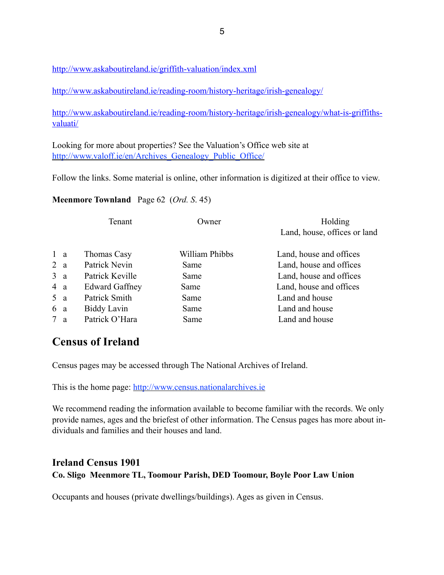<http://www.askaboutireland.ie/griffith-valuation/index.xml>

<http://www.askaboutireland.ie/reading-room/history-heritage/irish-genealogy/>

[http://www.askaboutireland.ie/reading-room/history-heritage/irish-genealogy/what-is-griffiths](http://www.askaboutireland.ie/reading-room/history-heritage/irish-genealogy/what-is-griffiths-valuati/)valuati/

Looking for more about properties? See the Valuation's Office web site at http://www.valoff.ie/en/Archives Genealogy Public Office/

Follow the links. Some material is online, other information is digitized at their office to view.

### **Meenmore Townland** Page 62 (*Ord. S*. 45)

|            | Tenant                | Owner          | Holding                      |
|------------|-----------------------|----------------|------------------------------|
|            |                       |                | Land, house, offices or land |
| $1 \alpha$ | Thomas Casy           | William Phibbs | Land, house and offices      |
| 2a         | Patrick Nevin         | Same           | Land, house and offices      |
| 3a         | Patrick Keville       | Same           | Land, house and offices      |
| 4 a        | <b>Edward Gaffney</b> | Same           | Land, house and offices      |
| 5a         | Patrick Smith         | Same           | Land and house               |
| 6 a        | <b>Biddy Lavin</b>    | Same           | Land and house               |
| 7a         | Patrick O'Hara        | Same           | Land and house               |
|            |                       |                |                              |

# **Census of Ireland**

Census pages may be accessed through The National Archives of Ireland.

This is the home page: <http://www.census.nationalarchives.ie>

We recommend reading the information available to become familiar with the records. We only provide names, ages and the briefest of other information. The Census pages has more about individuals and families and their houses and land.

## **Ireland Census 1901 Co. Sligo Meenmore TL, Toomour Parish, DED Toomour, Boyle Poor Law Union**

Occupants and houses (private dwellings/buildings). Ages as given in Census.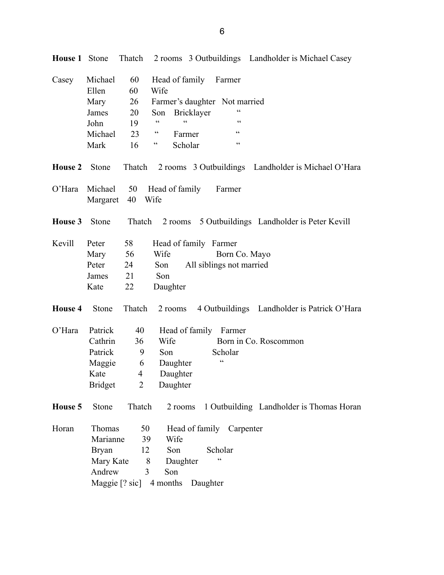| Casey          | Michael<br>Ellen<br>Mary | 60<br>60<br>26 | Head of family Farmer<br>Wife<br>Farmer's daughter Not married                |
|----------------|--------------------------|----------------|-------------------------------------------------------------------------------|
|                | James                    | 20             | $\zeta$ $\zeta$<br>Bricklayer<br>Son                                          |
|                | John                     | 19             | $\boldsymbol{\varsigma}$ $\boldsymbol{\varsigma}$<br>cc<br>$\zeta$ $\zeta$    |
|                | Michael                  | 23             | $\zeta\,\zeta$<br>$\boldsymbol{\varsigma}$ $\boldsymbol{\varsigma}$<br>Farmer |
|                | Mark                     | 16             | $\zeta\,\zeta$<br>$\zeta\,\zeta$<br>Scholar                                   |
| <b>House 2</b> | Stone                    | Thatch         | 2 rooms 3 Outbuildings Landholder is Michael O'Hara                           |
| $O'$ Hara      | Michael<br>Margaret      | 50<br>40       | Head of family<br>Farmer<br>Wife                                              |
| House 3        | Stone                    | Thatch         | 2 rooms 5 Outbuildings Landholder is Peter Kevill                             |
| Kevill         | Peter                    | 58             | Head of family Farmer                                                         |
|                | Mary                     | 56             | Wife<br>Born Co. Mayo                                                         |
|                | Peter                    | 24             | All siblings not married<br>Son                                               |
|                | James                    | 21             | Son                                                                           |
|                | Kate                     | 22             | Daughter                                                                      |
| House 4        | Stone                    | Thatch         | 4 Outbuildings Landholder is Patrick O'Hara<br>2 rooms                        |
| $O'$ Hara      | Patrick                  | 40             | Head of family Farmer                                                         |
|                | Cathrin                  | 36             | Wife<br>Born in Co. Roscommon                                                 |
|                | Patrick                  | 9              | Scholar<br>Son                                                                |
|                | Maggie                   | 6              | C<br>Daughter                                                                 |
|                | Kate                     | $\overline{4}$ | Daughter                                                                      |
|                | <b>Bridget</b>           | $\overline{2}$ | Daughter                                                                      |
| House 5        | Stone                    | Thatch         | 1 Outbuilding Landholder is Thomas Horan<br>2 rooms                           |
| Horan          | Thomas                   | 50             | Head of family Carpenter                                                      |
|                | Marianne                 | 39             | Wife                                                                          |
|                | <b>Bryan</b>             | 12             | Scholar<br>Son                                                                |
|                | Mary Kate                | 8              | $\boldsymbol{\zeta}$ $\boldsymbol{\zeta}$<br>Daughter                         |
|                | Andrew                   | 3              | Son                                                                           |
|                |                          |                | Maggie [? sic] 4 months Daughter                                              |

**House 1** Stone Thatch 2 rooms 3 Outbuildings Landholder is Michael Casey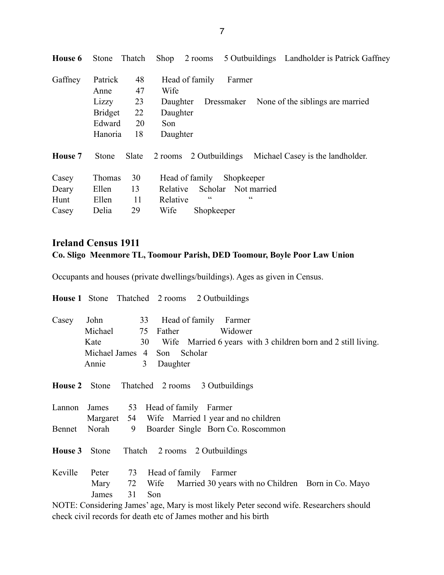| Patrick        | 48    | Head of family<br>Farmer                                      |
|----------------|-------|---------------------------------------------------------------|
| Anne           | 47    | Wife                                                          |
| Lizzy          | 23    | Dressmaker None of the siblings are married<br>Daughter       |
| <b>Bridget</b> | 22    | Daughter                                                      |
| Edward         | 20    | Son                                                           |
| Hanoria        | 18    | Daughter                                                      |
| <b>Stone</b>   | Slate | 2 Outbuildings<br>Michael Casey is the landholder.<br>2 rooms |
| <b>Thomas</b>  | 30    | Shopkeeper<br>Head of family                                  |
| Ellen          | 13    | Not married<br>Scholar<br>Relative                            |
| Ellen          | 11    | cc<br>C<br>Relative                                           |
| Delia          | 29    | Wife<br>Shopkeeper                                            |
|                |       |                                                               |

### **Ireland Census 1911 Co. Sligo Meenmore TL, Toomour Parish, DED Toomour, Boyle Poor Law Union**

Occupants and houses (private dwellings/buildings). Ages as given in Census.

**House 1** Stone Thatched 2 rooms 2 Outbuildings Casey John 33 Head of family Farmer Michael 75 Father Widower Kate 30 Wife Married 6 years with 3 children born and 2 still living. Michael James 4 Son Scholar Annie 3 Daughter **House 2** Stone Thatched 2 rooms 3 Outbuildings Lannon James 53 Head of family Farmer Margaret 54 Wife Married 1 year and no children Bennet Norah 9 Boarder Single Born Co. Roscommon **House 3** Stone Thatch 2 rooms 2 Outbuildings Keville Peter 73 Head of family Farmer Mary 72 Wife Married 30 years with no Children Born in Co. Mayo James 31 Son

NOTE: Considering James' age, Mary is most likely Peter second wife. Researchers should check civil records for death etc of James mother and his birth

7

**House 6** Stone Thatch Shop 2 rooms 5 Outbuildings Landholder is Patrick Gaffney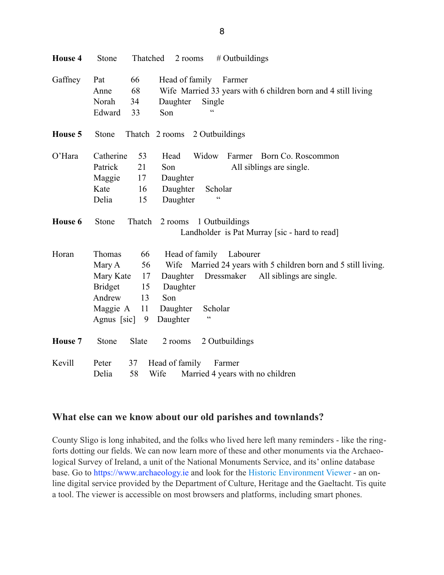| <b>House 4</b> | Thatched<br>$#$ Outbuildings<br>Stone<br>2 rooms                                                                                                                                                                                                                                                                                                        |  |
|----------------|---------------------------------------------------------------------------------------------------------------------------------------------------------------------------------------------------------------------------------------------------------------------------------------------------------------------------------------------------------|--|
| Gaffney        | Head of family<br>66<br>Farmer<br>Pat<br>68<br>Wife Married 33 years with 6 children born and 4 still living<br>Anne<br>Norah<br>34<br>Daughter<br>Single<br>$\epsilon$<br>Edward<br>33<br>Son                                                                                                                                                          |  |
| House 5        | 2 Outbuildings<br>Stone<br>Thatch 2 rooms                                                                                                                                                                                                                                                                                                               |  |
| $O'$ Hara      | Catherine<br>53<br>Head<br>Widow<br>Farmer<br>Born Co. Roscommon<br>Patrick<br>21<br>All siblings are single.<br>Son<br>Maggie<br>17<br>Daughter<br>Daughter<br>Scholar<br>Kate<br>16<br>$\epsilon$<br>Delia<br>Daughter<br>15                                                                                                                          |  |
| House 6        | Thatch<br>Stone<br>1 Outbuildings<br>2 rooms<br>Landholder is Pat Murray [sic - hard to read]                                                                                                                                                                                                                                                           |  |
| Horan          | Thomas<br>66<br>Head of family<br>Labourer<br>56<br>Wife Married 24 years with 5 children born and 5 still living.<br>Mary A<br>All siblings are single.<br>Mary Kate<br>17<br>Daughter<br>Dressmaker<br><b>Bridget</b><br>Daughter<br>15<br>Andrew<br>13<br>Son<br>11<br>Scholar<br>Maggie A<br>Daughter<br>$\epsilon$<br>Agnus [sic]<br>Daughter<br>9 |  |
| <b>House 7</b> | Slate<br>2 Outbuildings<br>Stone<br>2 rooms                                                                                                                                                                                                                                                                                                             |  |
| Kevill         | 37<br>Head of family<br>Peter<br>Farmer<br>58<br>Delia<br>Wife<br>Married 4 years with no children                                                                                                                                                                                                                                                      |  |

### **What else can we know about our old parishes and townlands?**

County Sligo is long inhabited, and the folks who lived here left many reminders - like the ringforts dotting our fields. We can now learn more of these and other monuments via the Archaeological Survey of Ireland, a unit of the National Monuments Service, and its' online database base. Go to [https://www.archaeology.ie](https://www.archaeology.ie/) and look for the [Historic Environment Viewer](http://webgis.archaeology.ie/historicenvironment) - an online digital service provided by the Department of Culture, Heritage and the Gaeltacht. Tis quite a tool. The viewer is accessible on most browsers and platforms, including smart phones.